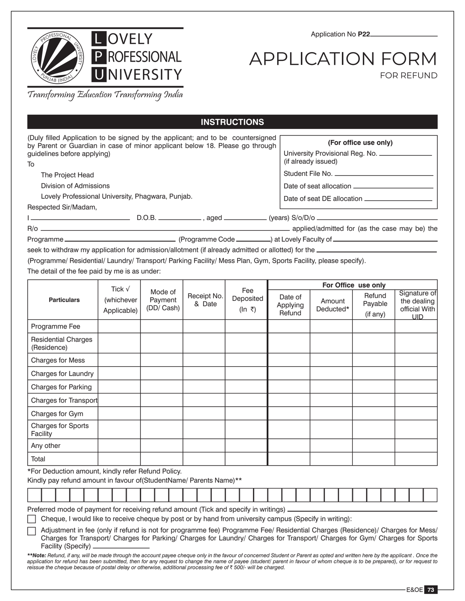

Application No **P22**

## APPLICATION FORM FOR REFUND

Transforming Education Transforming India

|                                                                                                                                                                                                      |                                              |                                                                                                |                       | <b>INSTRUCTIONS</b>        |                               |                     |                                                      |                                                      |  |  |
|------------------------------------------------------------------------------------------------------------------------------------------------------------------------------------------------------|----------------------------------------------|------------------------------------------------------------------------------------------------|-----------------------|----------------------------|-------------------------------|---------------------|------------------------------------------------------|------------------------------------------------------|--|--|
| (Duly filled Application to be signed by the applicant; and to be countersigned<br>by Parent or Guardian in case of minor applicant below 18. Please go through<br>guidelines before applying)<br>To |                                              | (For office use only)<br>University Provisional Reg. No. ______________<br>(if already issued) |                       |                            |                               |                     |                                                      |                                                      |  |  |
| The Project Head                                                                                                                                                                                     |                                              |                                                                                                | Student File No.      |                            |                               |                     |                                                      |                                                      |  |  |
| Division of Admissions<br>Lovely Professional University, Phagwara, Punjab.                                                                                                                          |                                              |                                                                                                |                       |                            |                               |                     |                                                      |                                                      |  |  |
| Respected Sir/Madam,                                                                                                                                                                                 |                                              |                                                                                                |                       |                            |                               |                     |                                                      |                                                      |  |  |
|                                                                                                                                                                                                      |                                              |                                                                                                |                       |                            |                               |                     |                                                      |                                                      |  |  |
| (Programme/ Residential/ Laundry/ Transport/ Parking Facility/ Mess Plan, Gym, Sports Facility, please specify).<br>The detail of the fee paid by me is as under:                                    |                                              |                                                                                                |                       |                            |                               |                     |                                                      |                                                      |  |  |
| <b>Particulars</b>                                                                                                                                                                                   | Tick $\sqrt{ }$<br>(whichever<br>Applicable) | Mode of<br>Payment<br>(DD/ Cash)                                                               | Receipt No.<br>& Date | Fee<br>Deposited<br>(In ₹) | Date of<br>Applying<br>Refund | Amount<br>Deducted* | For Office use only<br>Refund<br>Payable<br>(if any) | Signature of<br>the dealing<br>official With<br>UID. |  |  |
| Programme Fee                                                                                                                                                                                        |                                              |                                                                                                |                       |                            |                               |                     |                                                      |                                                      |  |  |

| Programme Fee                             |                                                                                                                          |  |  |  |  |  |  |  |  |  |  |  |  |  |  |  |  |
|-------------------------------------------|--------------------------------------------------------------------------------------------------------------------------|--|--|--|--|--|--|--|--|--|--|--|--|--|--|--|--|
| <b>Residential Charges</b><br>(Residence) |                                                                                                                          |  |  |  |  |  |  |  |  |  |  |  |  |  |  |  |  |
| Charges for Mess                          |                                                                                                                          |  |  |  |  |  |  |  |  |  |  |  |  |  |  |  |  |
| Charges for Laundry                       |                                                                                                                          |  |  |  |  |  |  |  |  |  |  |  |  |  |  |  |  |
| <b>Charges for Parking</b>                |                                                                                                                          |  |  |  |  |  |  |  |  |  |  |  |  |  |  |  |  |
| Charges for Transport                     |                                                                                                                          |  |  |  |  |  |  |  |  |  |  |  |  |  |  |  |  |
| Charges for Gym                           |                                                                                                                          |  |  |  |  |  |  |  |  |  |  |  |  |  |  |  |  |
| Charges for Sports<br>Facility            |                                                                                                                          |  |  |  |  |  |  |  |  |  |  |  |  |  |  |  |  |
| Any other                                 |                                                                                                                          |  |  |  |  |  |  |  |  |  |  |  |  |  |  |  |  |
| Total                                     |                                                                                                                          |  |  |  |  |  |  |  |  |  |  |  |  |  |  |  |  |
|                                           | *For Deduction amount, kindly refer Refund Policy.<br>Kindly pay refund amount in favour of(StudentName/ Parents Name)** |  |  |  |  |  |  |  |  |  |  |  |  |  |  |  |  |
|                                           |                                                                                                                          |  |  |  |  |  |  |  |  |  |  |  |  |  |  |  |  |

Preferred mode of payment for receiving refund amount (Tick and specify in writings).

Cheque, I would like to receive cheque by post or by hand from university campus (Specify in writing):

 Adjustment in fee (only if refund is not for programme fee) Programme Fee/ Residential Charges (Residence)/ Charges for Mess/ Charges for Transport/ Charges for Parking/ Charges for Laundry/ Charges for Transport/ Charges for Gym/ Charges for Sports Facility (Specify)

*\*\*Note: Refund, if any, will be made through the account payee cheque only in the favour of concerned Student or Parent as opted and written here by the applicant . Once the application for refund has been submitted, then for any request to change the name of payee (student/ parent in favour of whom cheque is to be prepared), or for request to reissue the cheque because of postal delay or otherwise, additional processing fee of ₹ 500/- will be charged.*